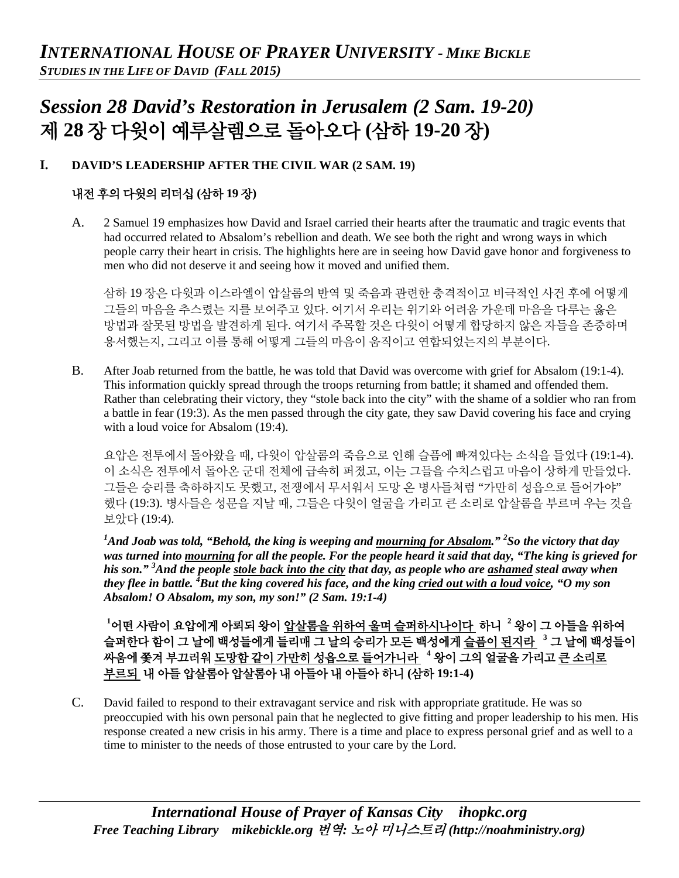# *Session 28 David's Restoration in Jerusalem (2 Sam. 19-20)* 제 **28** 장 다윗이 예루살렘으로 돌아오다 **(**삼하 **19-20** 장**)**

## **I. DAVID'S LEADERSHIP AFTER THE CIVIL WAR (2 SAM. 19)**

# 내전 후의 다윗의 리더십 **(**삼하 **19** 장**)**

A. 2 Samuel 19 emphasizes how David and Israel carried their hearts after the traumatic and tragic events that had occurred related to Absalom's rebellion and death. We see both the right and wrong ways in which people carry their heart in crisis. The highlights here are in seeing how David gave honor and forgiveness to men who did not deserve it and seeing how it moved and unified them.

삼하 19 장은 다윗과 이스라엘이 압살롬의 반역 및 죽음과 관련한 충격적이고 비극적인 사건 후에 어떻게 그들의 마음을 추스렸는 지를 보여주고 있다. 여기서 우리는 위기와 어려움 가운데 마음을 다루는 옳은 방법과 잘못된 방법을 발견하게 된다. 여기서 주목할 것은 다윗이 어떻게 합당하지 않은 자들을 존중하며 용서했는지, 그리고 이를 통해 어떻게 그들의 마음이 움직이고 연합되었는지의 부분이다.

B. After Joab returned from the battle, he was told that David was overcome with grief for Absalom (19:1-4). This information quickly spread through the troops returning from battle; it shamed and offended them. Rather than celebrating their victory, they "stole back into the city" with the shame of a soldier who ran from a battle in fear (19:3). As the men passed through the city gate, they saw David covering his face and crying with a loud voice for Absalom (19:4).

요압은 전투에서 돌아왔을 때, 다윗이 압살롬의 죽음으로 인해 슬픔에 빠져있다는 소식을 들었다 (19:1-4). 이 소식은 전투에서 돌아온 군대 전체에 급속히 퍼졌고, 이는 그들을 수치스럽고 마음이 상하게 만들었다. 그들은 승리를 축하하지도 못했고, 전쟁에서 무서워서 도망 온 병사들처럼 "가만히 성읍으로 들어가야" 했다 (19:3). 병사들은 성문을 지날 때, 그들은 다윗이 얼굴을 가리고 큰 소리로 압살롬을 부르며 우는 것을 보았다 (19:4).

*1 And Joab was told, "Behold, the king is weeping and mourning for Absalom." 2 So the victory that day was turned into mourning for all the people. For the people heard it said that day, "The king is grieved for his son." 3 And the people stole back into the city that day, as people who are ashamed steal away when they flee in battle. <sup>4</sup> But the king covered his face, and the king cried out with a loud voice, "O my son Absalom! O Absalom, my son, my son!" (2 Sam. 19:1-4)*

**1** 어떤 사람이 요압에게 아뢰되 왕이 압살롬을 위하여 울며 슬퍼하시나이다 하니 **<sup>2</sup>** 왕이 그 아들을 위하여 슬퍼한다 함이 그 날에 백성들에게 들리매 그 날의 승리가 모든 백성에게 슬픔이 된지라 **<sup>3</sup>** 그 날에 백성들이 싸움에 쫓겨 부끄러워 도망함 같이 가만히 성읍으로 들어가니라 **<sup>4</sup>** 왕이 그의 얼굴을 가리고 큰 소리로 부르되 내 아들 압살롬아 압살롬아 내 아들아 내 아들아 하니 **(**삼하 **19:1-4)**

C. David failed to respond to their extravagant service and risk with appropriate gratitude. He was so preoccupied with his own personal pain that he neglected to give fitting and proper leadership to his men. His response created a new crisis in his army. There is a time and place to express personal grief and as well to a time to minister to the needs of those entrusted to your care by the Lord.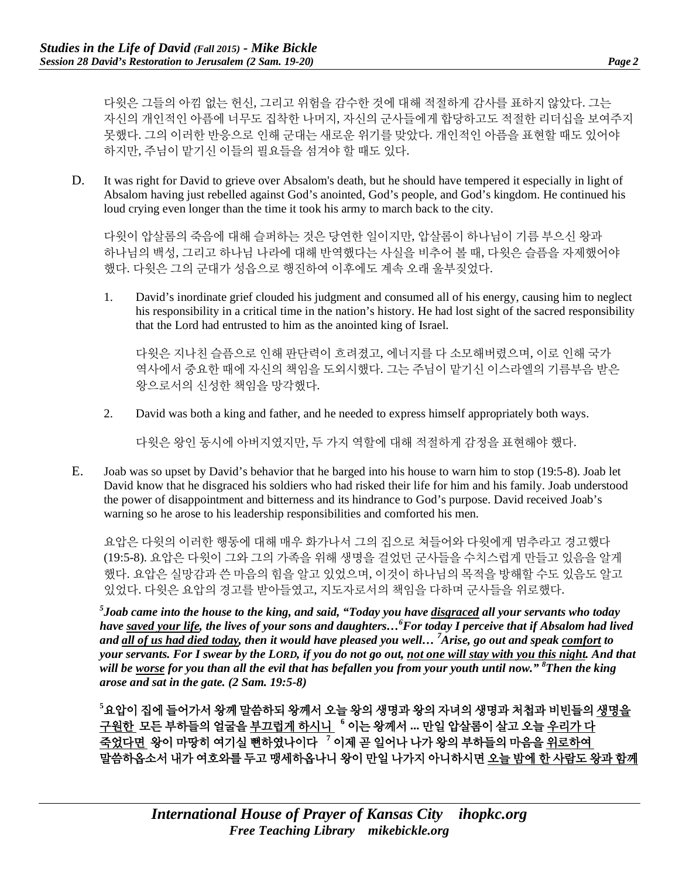다윗은 그들의 아낌 없는 헌신, 그리고 위험을 감수한 것에 대해 적절하게 감사를 표하지 않았다. 그는 자신의 개인적인 아픔에 너무도 집착한 나머지, 자신의 군사들에게 합당하고도 적절한 리더십을 보여주지 못했다. 그의 이러한 반응으로 인해 군대는 새로운 위기를 맞았다. 개인적인 아픔을 표현할 때도 있어야 하지만, 주님이 맡기신 이들의 필요들을 섬겨야 할 때도 있다.

D. It was right for David to grieve over Absalom's death, but he should have tempered it especially in light of Absalom having just rebelled against God's anointed, God's people, and God's kingdom. He continued his loud crying even longer than the time it took his army to march back to the city.

다윗이 압살롬의 죽음에 대해 슬퍼하는 것은 당연한 일이지만, 압살롬이 하나님이 기름 부으신 왕과 하나님의 백성, 그리고 하나님 나라에 대해 반역했다는 사실을 비추어 볼 때, 다윗은 슬픔을 자제했어야 했다. 다윗은 그의 군대가 성읍으로 행진하여 이후에도 계속 오래 울부짖었다.

1. David's inordinate grief clouded his judgment and consumed all of his energy, causing him to neglect his responsibility in a critical time in the nation's history. He had lost sight of the sacred responsibility that the Lord had entrusted to him as the anointed king of Israel.

다윗은 지나친 슬픔으로 인해 판단력이 흐려졌고, 에너지를 다 소모해버렸으며, 이로 인해 국가 역사에서 중요한 때에 자신의 책임을 도외시했다. 그는 주님이 맡기신 이스라엘의 기름부음 받은 왕으로서의 신성한 책임을 망각했다.

2. David was both a king and father, and he needed to express himself appropriately both ways.

다윗은 왕인 동시에 아버지였지만, 두 가지 역할에 대해 적절하게 감정을 표현해야 했다.

E. Joab was so upset by David's behavior that he barged into his house to warn him to stop (19:5-8). Joab let David know that he disgraced his soldiers who had risked their life for him and his family. Joab understood the power of disappointment and bitterness and its hindrance to God's purpose. David received Joab's warning so he arose to his leadership responsibilities and comforted his men.

요압은 다윗의 이러한 행동에 대해 매우 화가나서 그의 집으로 쳐들어와 다윗에게 멈추라고 경고했다 (19:5-8). 요압은 다윗이 그와 그의 가족을 위해 생명을 걸었던 군사들을 수치스럽게 만들고 있음을 알게 했다. 요압은 실망감과 쓴 마음의 힘을 알고 있었으며, 이것이 하나님의 목적을 방해할 수도 있음도 알고 있었다. 다윗은 요압의 경고를 받아들였고, 지도자로서의 책임을 다하며 군사들을 위로했다.

*5 Joab came into the house to the king, and said, "Today you have disgraced all your servants who today have saved your life, the lives of your sons and daughters…6 For today I perceive that if Absalom had lived and all of us had died today, then it would have pleased you well… <sup>7</sup> Arise, go out and speak comfort to your servants. For I swear by the LORD, if you do not go out, not one will stay with you this night. And that will be worse for you than all the evil that has befallen you from your youth until now." 8 Then the king arose and sat in the gate. (2 Sam. 19:5-8)*

**5** 요압이 집에 들어가서 왕께 말씀하되 왕께서 오늘 왕의 생명과 왕의 자녀의 생명과 처첩과 비빈들의 생명을 구원한 모든 부하들의 얼굴을 부끄럽게 하시니 **<sup>6</sup>** 이는 왕께서 **...** 만일 압살롬이 살고 오늘 우리가 다 죽었다면 왕이 마땅히 여기실 뻔하였나이다 **<sup>7</sup>** 이제 곧 일어나 나가 왕의 부하들의 마음을 위로하여 말씀하옵소서 내가 여호와를 두고 맹세하옵나니 왕이 만일 나가지 아니하시면 오늘 밤에 한 사람도 왕과 함께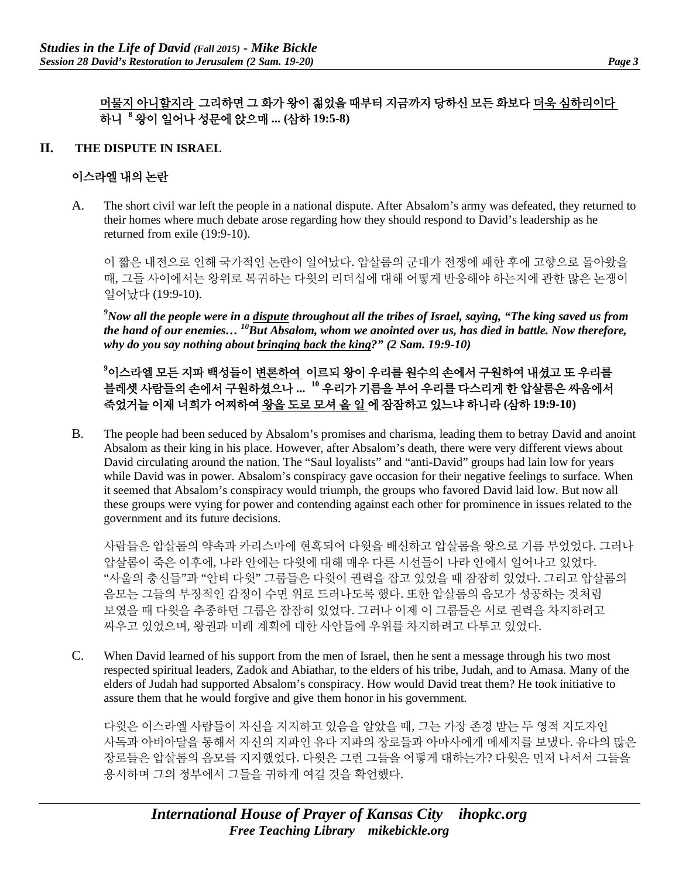## 머물지 아니할지라 그리하면 그 화가 왕이 젊었을 때부터 지금까지 당하신 모든 화보다 더욱 심하리이다 하니 **<sup>8</sup>** 왕이 일어나 성문에 앉으매 **... (**삼하 **19:5-8)**

#### **II. THE DISPUTE IN ISRAEL**

### 이스라엘 내의 논란

A. The short civil war left the people in a national dispute. After Absalom's army was defeated, they returned to their homes where much debate arose regarding how they should respond to David's leadership as he returned from exile (19:9-10).

이 짧은 내전으로 인해 국가적인 논란이 일어났다. 압살롬의 군대가 전쟁에 패한 후에 고향으로 돌아왔을 때, 그들 사이에서는 왕위로 복귀하는 다윗의 리더십에 대해 어떻게 반응해야 하는지에 관한 많은 논쟁이 일어났다 (19:9-10).

*9 Now all the people were in a dispute throughout all the tribes of Israel, saying, "The king saved us from the hand of our enemies… 10But Absalom, whom we anointed over us, has died in battle. Now therefore, why do you say nothing about bringing back the king?" (2 Sam. 19:9-10)*

# **9** 이스라엘 모든 지파 백성들이 변론하여 이르되 왕이 우리를 원수의 손에서 구원하여 내셨고 또 우리를 블레셋 사람들의 손에서 구원하셨으나 **... <sup>10</sup>** 우리가 기름을 부어 우리를 다스리게 한 압살롬은 싸움에서 죽었거늘 이제 너희가 어찌하여 왕을 도로 모셔 올 일 에 잠잠하고 있느냐 하니라 **(**삼하 **19:9-10)**

B. The people had been seduced by Absalom's promises and charisma, leading them to betray David and anoint Absalom as their king in his place. However, after Absalom's death, there were very different views about David circulating around the nation. The "Saul loyalists" and "anti-David" groups had lain low for years while David was in power. Absalom's conspiracy gave occasion for their negative feelings to surface. When it seemed that Absalom's conspiracy would triumph, the groups who favored David laid low. But now all these groups were vying for power and contending against each other for prominence in issues related to the government and its future decisions.

사람들은 압살롬의 약속과 카리스마에 현혹되어 다윗을 배신하고 압살롬을 왕으로 기름 부었었다. 그러나 압살롬이 죽은 이후에, 나라 안에는 다윗에 대해 매우 다른 시선들이 나라 안에서 일어나고 있었다. "사울의 충신들"과 "안티 다윗" 그룹들은 다윗이 권력을 잡고 있었을 때 잠잠히 있었다. 그리고 압살롬의 음모는 그들의 부정적인 감정이 수면 위로 드러나도록 했다. 또한 압살롬의 음모가 성공하는 것처럼 보였을 때 다윗을 추종하던 그룹은 잠잠히 있었다. 그러나 이제 이 그룹들은 서로 권력을 차지하려고 싸우고 있었으며, 왕권과 미래 계획에 대한 사안들에 우위를 차지하려고 다투고 있었다.

C. When David learned of his support from the men of Israel, then he sent a message through his two most respected spiritual leaders, Zadok and Abiathar, to the elders of his tribe, Judah, and to Amasa. Many of the elders of Judah had supported Absalom's conspiracy. How would David treat them? He took initiative to assure them that he would forgive and give them honor in his government.

다윗은 이스라엘 사람들이 자신을 지지하고 있음을 알았을 때, 그는 가장 존경 받는 두 영적 지도자인 사독과 아비아달을 통해서 자신의 지파인 유다 지파의 장로들과 아마사에게 메세지를 보냈다. 유다의 많은 장로들은 압살롬의 음모를 지지했었다. 다윗은 그런 그들을 어떻게 대하는가? 다윗은 먼저 나서서 그들을 용서하며 그의 정부에서 그들을 귀하게 여길 것을 확언했다.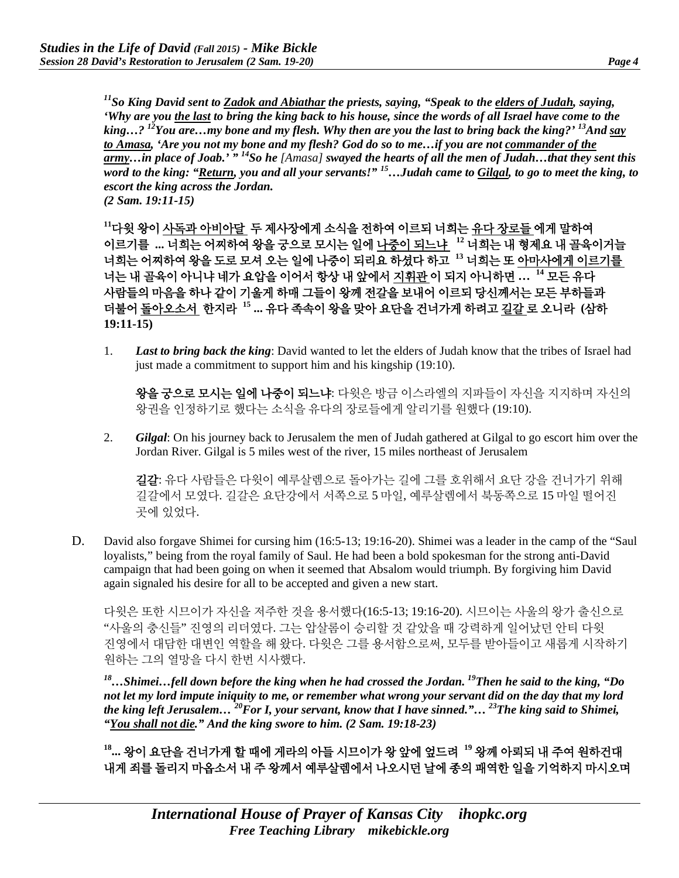*11So King David sent to Zadok and Abiathar the priests, saying, "Speak to the elders of Judah, saying, 'Why are you the last to bring the king back to his house, since the words of all Israel have come to the king…? 12You are…my bone and my flesh. Why then are you the last to bring back the king?' 13And say to Amasa, 'Are you not my bone and my flesh? God do so to me…if you are not commander of the army…in place of Joab.' " 14So he [Amasa] swayed the hearts of all the men of Judah…that they sent this word to the king: "Return, you and all your servants!" 15…Judah came to Gilgal, to go to meet the king, to escort the king across the Jordan. (2 Sam. 19:11-15)*

**<sup>11</sup>**다윗 왕이 사독과 아비아달 두 제사장에게 소식을 전하여 이르되 너희는 유다 장로들 에게 말하여 이르기를 **...** 너희는 어찌하여 왕을 궁으로 모시는 일에 나중이 되느냐 **<sup>12</sup>** 너희는 내 형제요 내 골육이거늘 너희는 어찌하여 왕을 도로 모셔 오는 일에 나중이 되리요 하셨다 하고 **<sup>13</sup>** 너희는 또 아마사에게 이르기를 너는 내 골육이 아니냐 네가 요압을 이어서 항상 내 앞에서 지휘관 이 되지 아니하면 **… <sup>14</sup>** 모든 유다 사람들의 마음을 하나 같이 기울게 하매 그들이 왕께 전갈을 보내어 이르되 당신께서는 모든 부하들과 더불어 돌아오소서 한지라 **<sup>15</sup> ...** 유다 족속이 왕을 맞아 요단을 건너가게 하려고 길갈 로 오니라 **(**삼하 **19:11-15)**

1. *Last to bring back the king*: David wanted to let the elders of Judah know that the tribes of Israel had just made a commitment to support him and his kingship (19:10).

왕을 궁으로 모시는 일에 나중이 되느냐: 다윗은 방금 이스라엘의 지파들이 자신을 지지하며 자신의 왕권을 인정하기로 했다는 소식을 유다의 장로들에게 알리기를 원했다 (19:10).

2. *Gilgal*: On his journey back to Jerusalem the men of Judah gathered at Gilgal to go escort him over the Jordan River. Gilgal is 5 miles west of the river, 15 miles northeast of Jerusalem

길갈: 유다 사람들은 다윗이 예루살렘으로 돌아가는 길에 그를 호위해서 요단 강을 건너가기 위해 길갈에서 모였다. 길갈은 요단강에서 서쪽으로 5 마일, 예루살렘에서 북동쪽으로 15 마일 떨어진 곳에 있었다.

D. David also forgave Shimei for cursing him (16:5-13; 19:16-20). Shimei was a leader in the camp of the "Saul loyalists," being from the royal family of Saul. He had been a bold spokesman for the strong anti-David campaign that had been going on when it seemed that Absalom would triumph. By forgiving him David again signaled his desire for all to be accepted and given a new start.

다윗은 또한 시므이가 자신을 저주한 것을 용서했다(16:5-13; 19:16-20). 시므이는 사울의 왕가 출신으로 "사울의 충신들" 진영의 리더였다. 그는 압살롬이 승리할 것 같았을 때 강력하게 일어났던 안티 다윗 진영에서 대담한 대변인 역할을 해 왔다. 다윗은 그를 용서함으로써, 모두를 받아들이고 새롭게 시작하기 원하는 그의 열망을 다시 한번 시사했다.

*18…Shimei…fell down before the king when he had crossed the Jordan. 19Then he said to the king, "Do not let my lord impute iniquity to me, or remember what wrong your servant did on the day that my lord the king left Jerusalem… 20For I, your servant, know that I have sinned."… 23The king said to Shimei, "You shall not die." And the king swore to him. (2 Sam. 19:18-23)*

**18...** 왕이 요단을 건너가게 할 때에 게라의 아들 시므이가 왕 앞에 엎드려 **<sup>19</sup>** 왕께 아뢰되 내 주여 원하건대 내게 죄를 돌리지 마옵소서 내 주 왕께서 예루살렘에서 나오시던 날에 종의 패역한 일을 기억하지 마시오며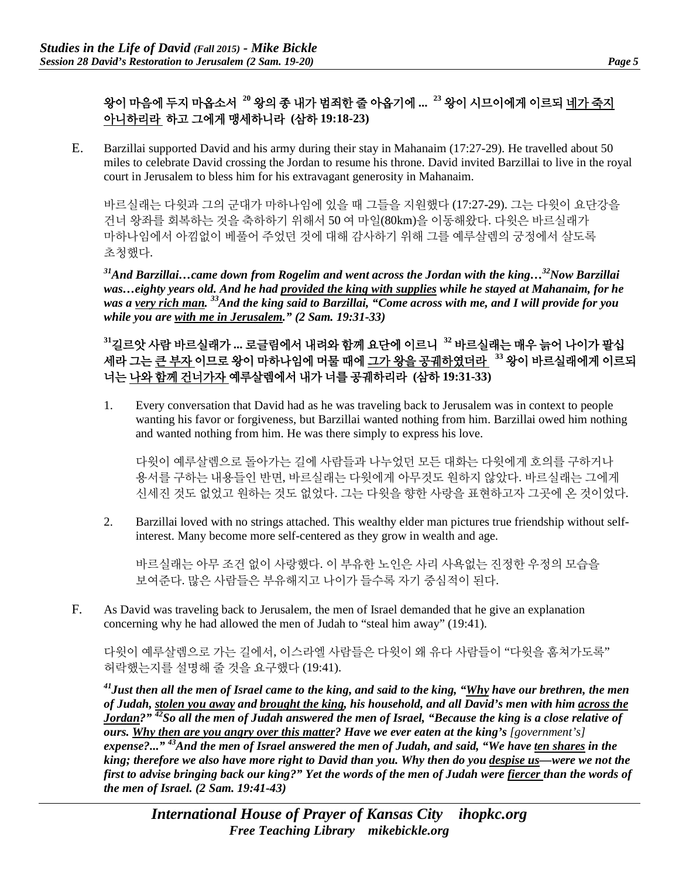# 왕이 마음에 두지 마옵소서 **<sup>20</sup>** 왕의 종 내가 범죄한 줄 아옵기에 **... <sup>23</sup>** 왕이 시므이에게 이르되 네가 죽지 아니하리라 하고 그에게 맹세하니라 **(**삼하 **19:18-23)**

E. Barzillai supported David and his army during their stay in Mahanaim (17:27-29). He travelled about 50 miles to celebrate David crossing the Jordan to resume his throne. David invited Barzillai to live in the royal court in Jerusalem to bless him for his extravagant generosity in Mahanaim.

바르실래는 다윗과 그의 군대가 마하나임에 있을 때 그들을 지원했다 (17:27-29). 그는 다윗이 요단강을 건너 왕좌를 회복하는 것을 축하하기 위해서 50 여 마일(80km)을 이동해왔다. 다윗은 바르실래가 마하나임에서 아낌없이 베풀어 주었던 것에 대해 감사하기 위해 그를 예루살렘의 궁정에서 살도록 초청했다.

*31And Barzillai…came down from Rogelim and went across the Jordan with the king…32Now Barzillai was…eighty years old. And he had provided the king with supplies while he stayed at Mahanaim, for he was a very rich man. 33And the king said to Barzillai, "Come across with me, and I will provide for you while you are with me in Jerusalem." (2 Sam. 19:31-33)*

**<sup>31</sup>**길르앗 사람 바르실래가 **...** 로글림에서 내려와 함께 요단에 이르니 **<sup>32</sup>** 바르실래는 매우 늙어 나이가 팔십 세라 그는 큰 부자 이므로 왕이 마하나임에 머물 때에 그가 왕을 공궤하였더라 **<sup>33</sup>** 왕이 바르실래에게 이르되 너는 나와 함께 건너가자 예루살렘에서 내가 너를 공궤하리라 **(**삼하 **19:31-33)**

1. Every conversation that David had as he was traveling back to Jerusalem was in context to people wanting his favor or forgiveness, but Barzillai wanted nothing from him. Barzillai owed him nothing and wanted nothing from him. He was there simply to express his love.

다윗이 예루살렘으로 돌아가는 길에 사람들과 나누었던 모든 대화는 다윗에게 호의를 구하거나 용서를 구하는 내용들인 반면, 바르실래는 다윗에게 아무것도 원하지 않았다. 바르실래는 그에게 신세진 것도 없었고 원하는 것도 없었다. 그는 다윗을 향한 사랑을 표현하고자 그곳에 온 것이었다.

2. Barzillai loved with no strings attached. This wealthy elder man pictures true friendship without selfinterest. Many become more self-centered as they grow in wealth and age.

바르실래는 아무 조건 없이 사랑했다. 이 부유한 노인은 사리 사욕없는 진정한 우정의 모습을 보여준다. 많은 사람들은 부유해지고 나이가 들수록 자기 중심적이 된다.

F. As David was traveling back to Jerusalem, the men of Israel demanded that he give an explanation concerning why he had allowed the men of Judah to "steal him away" (19:41).

다윗이 예루살렘으로 가는 길에서, 이스라엘 사람들은 다윗이 왜 유다 사람들이 "다윗을 훔쳐가도록" 허락했는지를 설명해 줄 것을 요구했다 (19:41).

*41Just then all the men of Israel came to the king, and said to the king, "Why have our brethren, the men of Judah, stolen you away and brought the king, his household, and all David's men with him across the Jordan?" 42So all the men of Judah answered the men of Israel, "Because the king is a close relative of ours. Why then are you angry over this matter? Have we ever eaten at the king's [government's] expense?..." 43And the men of Israel answered the men of Judah, and said, "We have ten shares in the king; therefore we also have more right to David than you. Why then do you despise us—were we not the first to advise bringing back our king?" Yet the words of the men of Judah were fiercer than the words of the men of Israel. (2 Sam. 19:41-43)*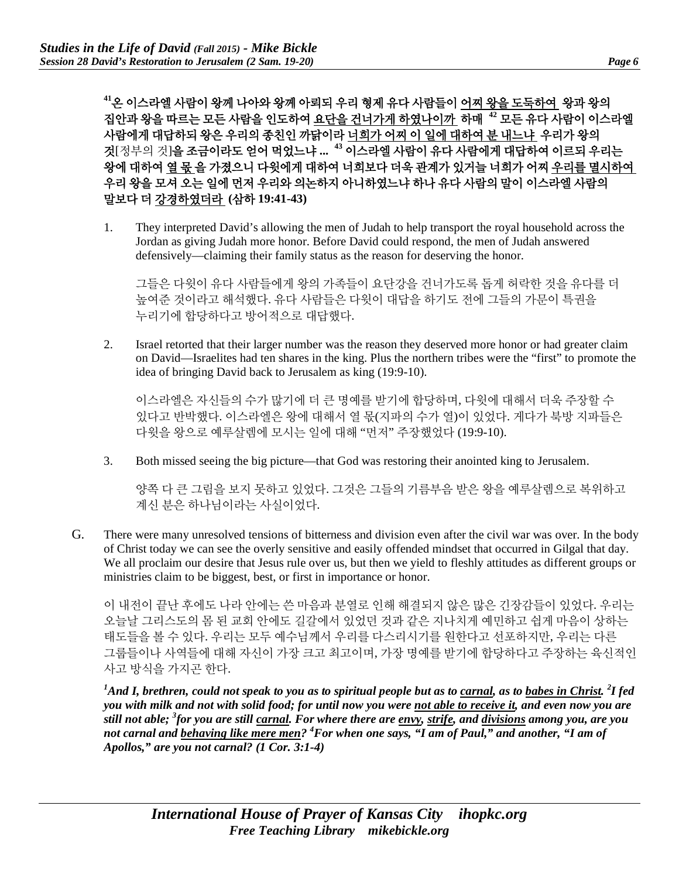**<sup>41</sup>**온 이스라엘 사람이 왕께 나아와 왕께 아뢰되 우리 형제 유다 사람들이 어찌 왕을 도둑하여 왕과 왕의 집안과 왕을 따르는 모든 사람을 인도하여 요단을 건너가게 하였나이까 하매 **<sup>42</sup>** 모든 유다 사람이 이스라엘 사람에게 대답하되 왕은 우리의 종친인 까닭이라 너희가 어찌 이 일에 대하여 분 내느냐 우리가 왕의 것[정부의 것]을 조금이라도 얻어 먹었느냐 **... <sup>43</sup>** 이스라엘 사람이 유다 사람에게 대답하여 이르되 우리는 왕에 대하여 열 몫 을 가졌으니 다윗에게 대하여 너희보다 더욱 관계가 있거늘 너희가 어찌 우리를 멸시하여 우리 왕을 모셔 오는 일에 먼저 우리와 의논하지 아니하였느냐 하나 유다 사람의 말이 이스라엘 사람의 말보다 더 강경하였더라 **(**삼하 **19:41-43)**

1. They interpreted David's allowing the men of Judah to help transport the royal household across the Jordan as giving Judah more honor. Before David could respond, the men of Judah answered defensively—claiming their family status as the reason for deserving the honor.

그들은 다윗이 유다 사람들에게 왕의 가족들이 요단강을 건너가도록 돕게 허락한 것을 유다를 더 높여준 것이라고 해석했다. 유다 사람들은 다윗이 대답을 하기도 전에 그들의 가문이 특권을 누리기에 합당하다고 방어적으로 대답했다.

2. Israel retorted that their larger number was the reason they deserved more honor or had greater claim on David—Israelites had ten shares in the king. Plus the northern tribes were the "first" to promote the idea of bringing David back to Jerusalem as king (19:9-10).

이스라엘은 자신들의 수가 많기에 더 큰 명예를 받기에 합당하며, 다윗에 대해서 더욱 주장할 수 있다고 반박했다. 이스라엘은 왕에 대해서 열 몫(지파의 수가 열)이 있었다. 게다가 북방 지파들은 다윗을 왕으로 예루살렘에 모시는 일에 대해 "먼저" 주장했었다 (19:9-10).

3. Both missed seeing the big picture—that God was restoring their anointed king to Jerusalem.

양쪽 다 큰 그림을 보지 못하고 있었다. 그것은 그들의 기름부음 받은 왕을 예루살렘으로 복위하고 계신 분은 하나님이라는 사실이었다.

G. There were many unresolved tensions of bitterness and division even after the civil war was over. In the body of Christ today we can see the overly sensitive and easily offended mindset that occurred in Gilgal that day. We all proclaim our desire that Jesus rule over us, but then we yield to fleshly attitudes as different groups or ministries claim to be biggest, best, or first in importance or honor.

이 내전이 끝난 후에도 나라 안에는 쓴 마음과 분열로 인해 해결되지 않은 많은 긴장감들이 있었다. 우리는 오늘날 그리스도의 몸 된 교회 안에도 길갈에서 있었던 것과 같은 지나치게 예민하고 쉽게 마음이 상하는 태도들을 볼 수 있다. 우리는 모두 예수님께서 우리를 다스리시기를 원한다고 선포하지만, 우리는 다른 그룹들이나 사역들에 대해 자신이 가장 크고 최고이며, 가장 명예를 받기에 합당하다고 주장하는 육신적인 사고 방식을 가지곤 한다.

*1 And I, brethren, could not speak to you as to spiritual people but as to carnal, as to babes in Christ. <sup>2</sup> I fed you with milk and not with solid food; for until now you were not able to receive it, and even now you are still not able; <sup>3</sup> for you are still carnal. For where there are envy, strife, and divisions among you, are you not carnal and behaving like mere men? 4 For when one says, "I am of Paul," and another, "I am of Apollos," are you not carnal? (1 Cor. 3:1-4)*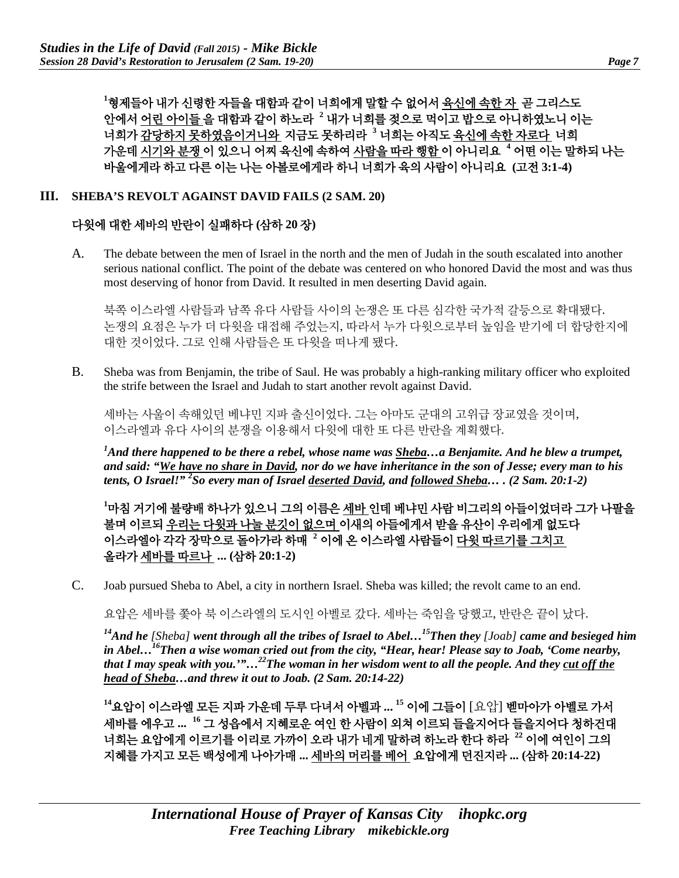**1** 형제들아 내가 신령한 자들을 대함과 같이 너희에게 말할 수 없어서 육신에 속한 자 곧 그리스도 안에서 어린 아이들 을 대함과 같이 하노라 **<sup>2</sup>** 내가 너희를 젖으로 먹이고 밥으로 아니하였노니 이는 너희가 감당하지 못하였음이거니와 지금도 못하리라 **<sup>3</sup>** 너희는 아직도 육신에 속한 자로다 너희 가운데 시기와 분쟁 이 있으니 어찌 육신에 속하여 사람을 따라 행함 이 아니리요 **<sup>4</sup>** 어떤 이는 말하되 나는 바울에게라 하고 다른 이는 나는 아볼로에게라 하니 너희가 육의 사람이 아니리요 **(**고전 **3:1-4)**

#### **III. SHEBA'S REVOLT AGAINST DAVID FAILS (2 SAM. 20)**

#### 다윗에 대한 세바의 반란이 실패하다 **(**삼하 **20** 장**)**

A. The debate between the men of Israel in the north and the men of Judah in the south escalated into another serious national conflict. The point of the debate was centered on who honored David the most and was thus most deserving of honor from David. It resulted in men deserting David again.

북쪽 이스라엘 사람들과 남쪽 유다 사람들 사이의 논쟁은 또 다른 심각한 국가적 갈등으로 확대됐다. 논쟁의 요점은 누가 더 다윗을 대접해 주었는지, 따라서 누가 다윗으로부터 높임을 받기에 더 합당한지에 대한 것이었다. 그로 인해 사람들은 또 다윗을 떠나게 됐다.

B. Sheba was from Benjamin, the tribe of Saul. He was probably a high-ranking military officer who exploited the strife between the Israel and Judah to start another revolt against David.

세바는 사울이 속해있던 베냐민 지파 출신이었다. 그는 아마도 군대의 고위급 장교였을 것이며, 이스라엘과 유다 사이의 분쟁을 이용해서 다윗에 대한 또 다른 반란을 계획했다.

*1 And there happened to be there a rebel, whose name was Sheba…a Benjamite. And he blew a trumpet, and said: "We have no share in David, nor do we have inheritance in the son of Jesse; every man to his tents, O Israel!" <sup>2</sup> So every man of Israel deserted David, and followed Sheba… . (2 Sam. 20:1-2)*

**1** 마침 거기에 불량배 하나가 있으니 그의 이름은 세바 인데 베냐민 사람 비그리의 아들이었더라 그가 나팔을 불며 이르되 우리는 다윗과 나눌 분깃이 없으며 이새의 아들에게서 받을 유산이 우리에게 없도다 이스라엘아 각각 장막으로 돌아가라 하매 **<sup>2</sup>** 이에 온 이스라엘 사람들이 다윗 따르기를 그치고 올라가 세바를 따르나 **... (**삼하 **20:1-2)** 

C. Joab pursued Sheba to Abel, a city in northern Israel. Sheba was killed; the revolt came to an end.

요압은 세바를 쫓아 북 이스라엘의 도시인 아벨로 갔다. 세바는 죽임을 당했고, 반란은 끝이 났다.

*14And he [Sheba] went through all the tribes of Israel to Abel…15Then they [Joab] came and besieged him in Abel…16Then a wise woman cried out from the city, "Hear, hear! Please say to Joab, 'Come nearby, that I may speak with you.'"…22The woman in her wisdom went to all the people. And they cut off the head of Sheba…and threw it out to Joab. (2 Sam. 20:14-22)*

**<sup>14</sup>**요압이 이스라엘 모든 지파 가운데 두루 다녀서 아벨과 **... <sup>15</sup>** 이에 그들이 [요압] 벧마아가 아벨로 가서 세바를 에우고 **... <sup>16</sup>** 그 성읍에서 지혜로운 여인 한 사람이 외쳐 이르되 들을지어다 들을지어다 청하건대 너희는 요압에게 이르기를 이리로 가까이 오라 내가 네게 말하려 하노라 한다 하라 **<sup>22</sup>** 이에 여인이 그의 지혜를 가지고 모든 백성에게 나아가매 **...** 세바의 머리를 베어 요압에게 던진지라 **... (**삼하 **20:14-22)**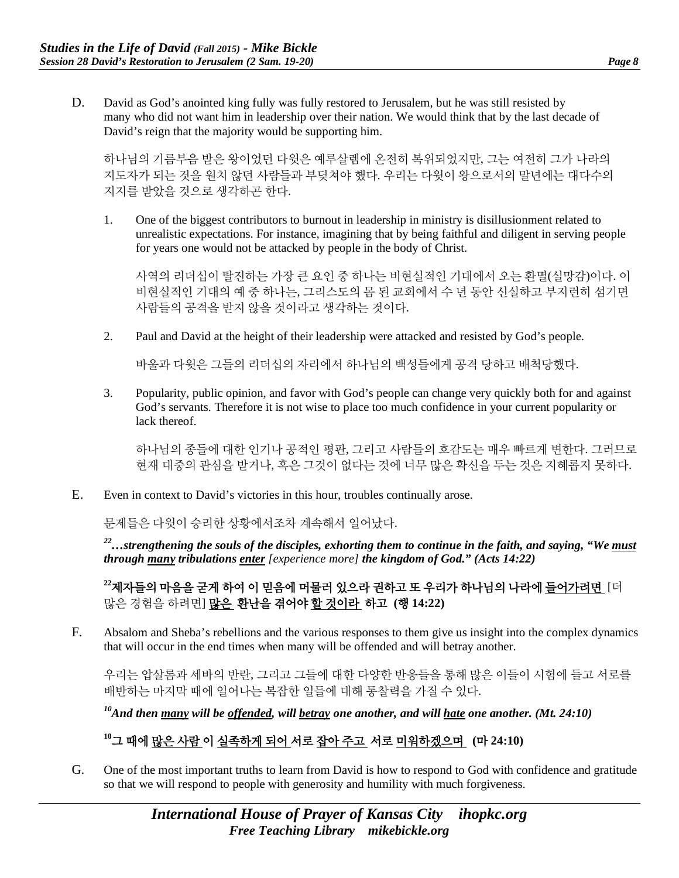D. David as God's anointed king fully was fully restored to Jerusalem, but he was still resisted by many who did not want him in leadership over their nation. We would think that by the last decade of David's reign that the majority would be supporting him.

하나님의 기름부음 받은 왕이었던 다윗은 예루살렘에 온전히 복위되었지만, 그는 여전히 그가 나라의 지도자가 되는 것을 원치 않던 사람들과 부딪쳐야 했다. 우리는 다윗이 왕으로서의 말년에는 대다수의 지지를 받았을 것으로 생각하곤 한다.

1. One of the biggest contributors to burnout in leadership in ministry is disillusionment related to unrealistic expectations. For instance, imagining that by being faithful and diligent in serving people for years one would not be attacked by people in the body of Christ.

사역의 리더십이 탈진하는 가장 큰 요인 중 하나는 비현실적인 기대에서 오는 환멸(실망감)이다. 이 비현실적인 기대의 예 중 하나는, 그리스도의 몸 된 교회에서 수 년 동안 신실하고 부지런히 섬기면 사람들의 공격을 받지 않을 것이라고 생각하는 것이다.

2. Paul and David at the height of their leadership were attacked and resisted by God's people.

바울과 다윗은 그들의 리더십의 자리에서 하나님의 백성들에게 공격 당하고 배척당했다.

3. Popularity, public opinion, and favor with God's people can change very quickly both for and against God's servants. Therefore it is not wise to place too much confidence in your current popularity or lack thereof.

하나님의 종들에 대한 인기나 공적인 평판, 그리고 사람들의 호감도는 매우 빠르게 변한다. 그러므로 현재 대중의 관심을 받거나, 혹은 그것이 없다는 것에 너무 많은 확신을 두는 것은 지혜롭지 못하다.

E. Even in context to David's victories in this hour, troubles continually arose.

문제들은 다윗이 승리한 상황에서조차 계속해서 일어났다.

*22…strengthening the souls of the disciples, exhorting them to continue in the faith, and saying, "We must through many tribulations enter [experience more] the kingdom of God." (Acts 14:22)*

## **<sup>22</sup>**제자들의 마음을 굳게 하여 이 믿음에 머물러 있으라 권하고 또 우리가 하나님의 나라에 들어가려면 [더 많은 경험을 하려면] 많은 환난을 겪어야 할 것이라 하고 **(**행 **14:22)**

F. Absalom and Sheba's rebellions and the various responses to them give us insight into the complex dynamics that will occur in the end times when many will be offended and will betray another.

우리는 압살롬과 세바의 반란, 그리고 그들에 대한 다양한 반응들을 통해 많은 이들이 시험에 들고 서로를 배반하는 마지막 때에 일어나는 복잡한 일들에 대해 통찰력을 가질 수 있다.

*10And then many will be offended, will betray one another, and will hate one another. (Mt. 24:10)*

#### **<sup>10</sup>**그 때에 많은 사람 이 실족하게 되어 서로 잡아 주고 서로 미워하겠으며 **(**마 **24:10)**

G. One of the most important truths to learn from David is how to respond to God with confidence and gratitude so that we will respond to people with generosity and humility with much forgiveness.